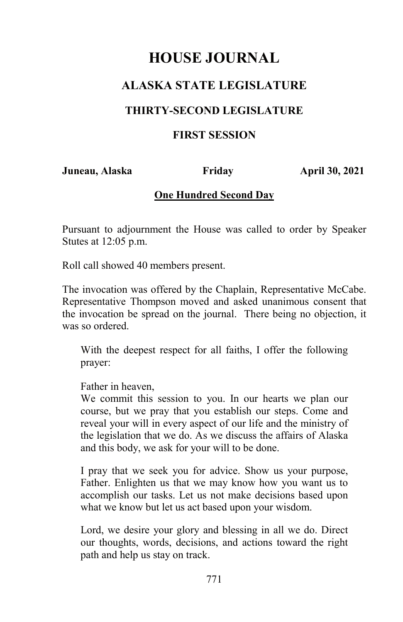# **ALASKA STATE LEGISLATURE**

### **THIRTY-SECOND LEGISLATURE**

### **FIRST SESSION**

**Juneau, Alaska Friday April 30, 2021** 

### **One Hundred Second Day**

Pursuant to adjournment the House was called to order by Speaker Stutes at 12:05 p.m.

Roll call showed 40 members present.

The invocation was offered by the Chaplain, Representative McCabe. Representative Thompson moved and asked unanimous consent that the invocation be spread on the journal. There being no objection, it was so ordered.

With the deepest respect for all faiths, I offer the following prayer:

Father in heaven,

We commit this session to you. In our hearts we plan our course, but we pray that you establish our steps. Come and reveal your will in every aspect of our life and the ministry of the legislation that we do. As we discuss the affairs of Alaska and this body, we ask for your will to be done.

I pray that we seek you for advice. Show us your purpose, Father. Enlighten us that we may know how you want us to accomplish our tasks. Let us not make decisions based upon what we know but let us act based upon your wisdom.

Lord, we desire your glory and blessing in all we do. Direct our thoughts, words, decisions, and actions toward the right path and help us stay on track.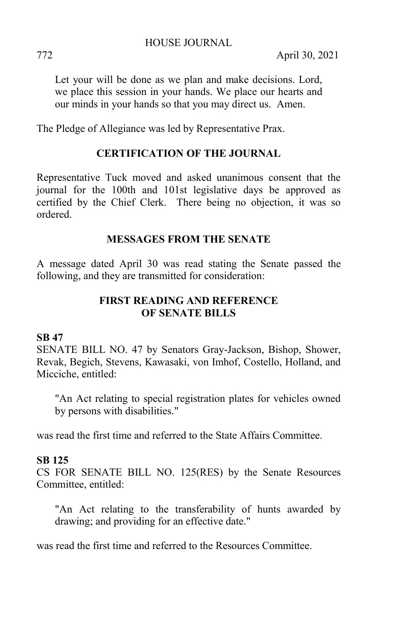Let your will be done as we plan and make decisions. Lord, we place this session in your hands. We place our hearts and our minds in your hands so that you may direct us. Amen.

The Pledge of Allegiance was led by Representative Prax.

# **CERTIFICATION OF THE JOURNAL**

Representative Tuck moved and asked unanimous consent that the journal for the 100th and 101st legislative days be approved as certified by the Chief Clerk. There being no objection, it was so ordered.

### **MESSAGES FROM THE SENATE**

A message dated April 30 was read stating the Senate passed the following, and they are transmitted for consideration:

# **FIRST READING AND REFERENCE OF SENATE BILLS**

### **SB 47**

SENATE BILL NO. 47 by Senators Gray-Jackson, Bishop, Shower, Revak, Begich, Stevens, Kawasaki, von Imhof, Costello, Holland, and Micciche, entitled:

"An Act relating to special registration plates for vehicles owned by persons with disabilities."

was read the first time and referred to the State Affairs Committee.

### **SB 125**

CS FOR SENATE BILL NO. 125(RES) by the Senate Resources Committee, entitled:

"An Act relating to the transferability of hunts awarded by drawing; and providing for an effective date."

was read the first time and referred to the Resources Committee.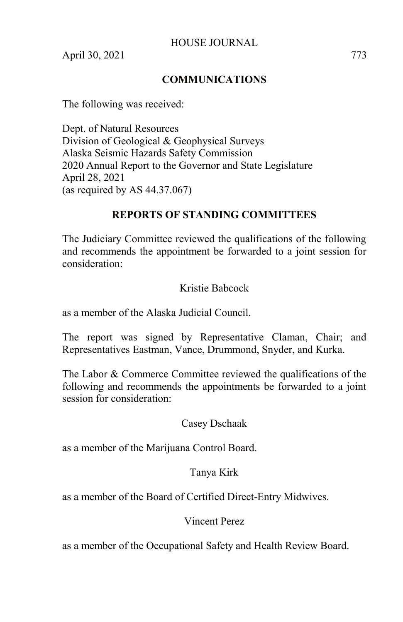### **COMMUNICATIONS**

The following was received:

Dept. of Natural Resources Division of Geological & Geophysical Surveys Alaska Seismic Hazards Safety Commission 2020 Annual Report to the Governor and State Legislature April 28, 2021 (as required by AS 44.37.067)

### **REPORTS OF STANDING COMMITTEES**

The Judiciary Committee reviewed the qualifications of the following and recommends the appointment be forwarded to a joint session for consideration:

### Kristie Babcock

as a member of the Alaska Judicial Council.

The report was signed by Representative Claman, Chair; and Representatives Eastman, Vance, Drummond, Snyder, and Kurka.

The Labor & Commerce Committee reviewed the qualifications of the following and recommends the appointments be forwarded to a joint session for consideration:

### Casey Dschaak

as a member of the Marijuana Control Board.

### Tanya Kirk

as a member of the Board of Certified Direct-Entry Midwives.

### Vincent Perez

as a member of the Occupational Safety and Health Review Board.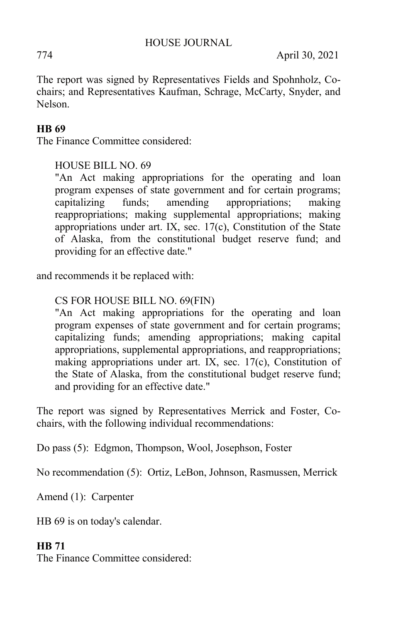The report was signed by Representatives Fields and Spohnholz, Cochairs; and Representatives Kaufman, Schrage, McCarty, Snyder, and Nelson.

## **HB 69**

The Finance Committee considered:

HOUSE BILL NO. 69

"An Act making appropriations for the operating and loan program expenses of state government and for certain programs; capitalizing funds; amending appropriations; making reappropriations; making supplemental appropriations; making appropriations under art. IX, sec. 17(c), Constitution of the State of Alaska, from the constitutional budget reserve fund; and providing for an effective date."

and recommends it be replaced with:

### CS FOR HOUSE BILL NO. 69(FIN)

"An Act making appropriations for the operating and loan program expenses of state government and for certain programs; capitalizing funds; amending appropriations; making capital appropriations, supplemental appropriations, and reappropriations; making appropriations under art. IX, sec. 17(c), Constitution of the State of Alaska, from the constitutional budget reserve fund; and providing for an effective date."

The report was signed by Representatives Merrick and Foster, Cochairs, with the following individual recommendations:

Do pass (5): Edgmon, Thompson, Wool, Josephson, Foster

No recommendation (5): Ortiz, LeBon, Johnson, Rasmussen, Merrick

Amend (1): Carpenter

HB 69 is on today's calendar.

### **HB 71**

The Finance Committee considered: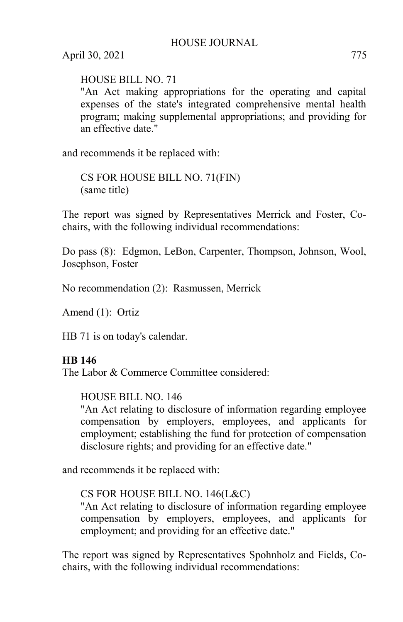HOUSE BILL NO. 71

"An Act making appropriations for the operating and capital expenses of the state's integrated comprehensive mental health program; making supplemental appropriations; and providing for an effective date."

and recommends it be replaced with:

CS FOR HOUSE BILL NO. 71(FIN) (same title)

The report was signed by Representatives Merrick and Foster, Cochairs, with the following individual recommendations:

Do pass (8): Edgmon, LeBon, Carpenter, Thompson, Johnson, Wool, Josephson, Foster

No recommendation (2): Rasmussen, Merrick

Amend (1): Ortiz

HB 71 is on today's calendar.

### **HB 146**

The Labor & Commerce Committee considered:

HOUSE BILL NO. 146

"An Act relating to disclosure of information regarding employee compensation by employers, employees, and applicants for employment; establishing the fund for protection of compensation disclosure rights; and providing for an effective date."

and recommends it be replaced with:

# CS FOR HOUSE BILL NO. 146(L&C)

"An Act relating to disclosure of information regarding employee compensation by employers, employees, and applicants for employment; and providing for an effective date."

The report was signed by Representatives Spohnholz and Fields, Cochairs, with the following individual recommendations: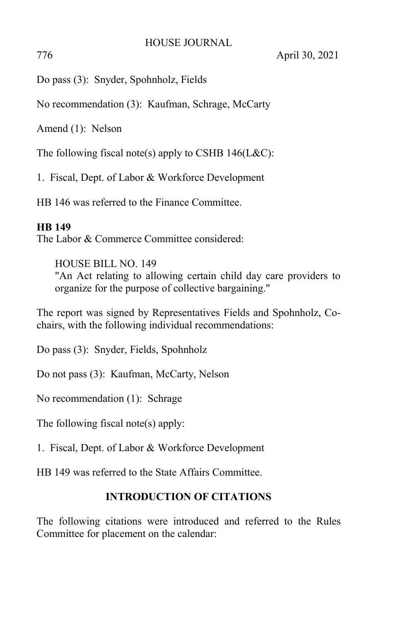Do pass (3): Snyder, Spohnholz, Fields

No recommendation (3): Kaufman, Schrage, McCarty

Amend (1): Nelson

The following fiscal note(s) apply to CSHB  $146$ (L&C):

1. Fiscal, Dept. of Labor & Workforce Development

HB 146 was referred to the Finance Committee.

### **HB 149**

The Labor & Commerce Committee considered:

HOUSE BILL NO. 149 "An Act relating to allowing certain child day care providers to organize for the purpose of collective bargaining."

The report was signed by Representatives Fields and Spohnholz, Cochairs, with the following individual recommendations:

Do pass (3): Snyder, Fields, Spohnholz

Do not pass (3): Kaufman, McCarty, Nelson

No recommendation (1): Schrage

The following fiscal note(s) apply:

1. Fiscal, Dept. of Labor & Workforce Development

HB 149 was referred to the State Affairs Committee.

# **INTRODUCTION OF CITATIONS**

The following citations were introduced and referred to the Rules Committee for placement on the calendar: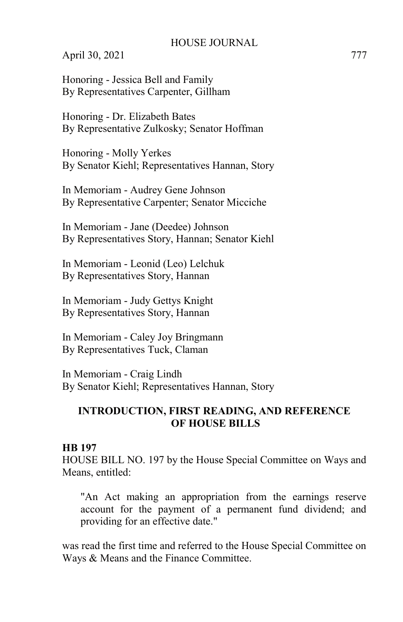Honoring - Jessica Bell and Family By Representatives Carpenter, Gillham

Honoring - Dr. Elizabeth Bates By Representative Zulkosky; Senator Hoffman

Honoring - Molly Yerkes By Senator Kiehl; Representatives Hannan, Story

In Memoriam - Audrey Gene Johnson By Representative Carpenter; Senator Micciche

In Memoriam - Jane (Deedee) Johnson By Representatives Story, Hannan; Senator Kiehl

In Memoriam - Leonid (Leo) Lelchuk By Representatives Story, Hannan

In Memoriam - Judy Gettys Knight By Representatives Story, Hannan

In Memoriam - Caley Joy Bringmann By Representatives Tuck, Claman

In Memoriam - Craig Lindh By Senator Kiehl; Representatives Hannan, Story

### **INTRODUCTION, FIRST READING, AND REFERENCE OF HOUSE BILLS**

#### **HB 197**

HOUSE BILL NO. 197 by the House Special Committee on Ways and Means, entitled:

"An Act making an appropriation from the earnings reserve account for the payment of a permanent fund dividend; and providing for an effective date."

was read the first time and referred to the House Special Committee on Ways & Means and the Finance Committee.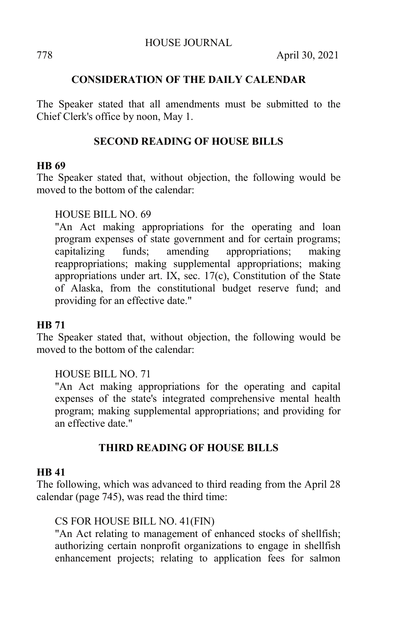## **CONSIDERATION OF THE DAILY CALENDAR**

The Speaker stated that all amendments must be submitted to the Chief Clerk's office by noon, May 1.

## **SECOND READING OF HOUSE BILLS**

#### **HB 69**

The Speaker stated that, without objection, the following would be moved to the bottom of the calendar:

### HOUSE BILL NO. 69

"An Act making appropriations for the operating and loan program expenses of state government and for certain programs; capitalizing funds; amending appropriations; making reappropriations; making supplemental appropriations; making appropriations under art. IX, sec. 17(c), Constitution of the State of Alaska, from the constitutional budget reserve fund; and providing for an effective date."

### **HB 71**

The Speaker stated that, without objection, the following would be moved to the bottom of the calendar:

### HOUSE BILL NO. 71

"An Act making appropriations for the operating and capital expenses of the state's integrated comprehensive mental health program; making supplemental appropriations; and providing for an effective date."

### **THIRD READING OF HOUSE BILLS**

#### **HB 41**

The following, which was advanced to third reading from the April 28 calendar (page 745), was read the third time:

### CS FOR HOUSE BILL NO. 41(FIN)

"An Act relating to management of enhanced stocks of shellfish; authorizing certain nonprofit organizations to engage in shellfish enhancement projects; relating to application fees for salmon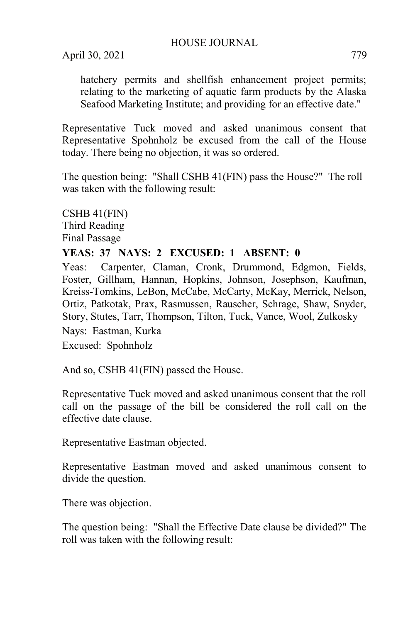April 30, 2021 779

hatchery permits and shellfish enhancement project permits; relating to the marketing of aquatic farm products by the Alaska Seafood Marketing Institute; and providing for an effective date."

Representative Tuck moved and asked unanimous consent that Representative Spohnholz be excused from the call of the House today. There being no objection, it was so ordered.

The question being: "Shall CSHB 41(FIN) pass the House?" The roll was taken with the following result:

CSHB 41(FIN) Third Reading Final Passage

### **YEAS: 37 NAYS: 2 EXCUSED: 1 ABSENT: 0**

Yeas: Carpenter, Claman, Cronk, Drummond, Edgmon, Fields, Foster, Gillham, Hannan, Hopkins, Johnson, Josephson, Kaufman, Kreiss-Tomkins, LeBon, McCabe, McCarty, McKay, Merrick, Nelson, Ortiz, Patkotak, Prax, Rasmussen, Rauscher, Schrage, Shaw, Snyder, Story, Stutes, Tarr, Thompson, Tilton, Tuck, Vance, Wool, Zulkosky

Nays: Eastman, Kurka

Excused: Spohnholz

And so, CSHB 41(FIN) passed the House.

Representative Tuck moved and asked unanimous consent that the roll call on the passage of the bill be considered the roll call on the effective date clause.

Representative Eastman objected.

Representative Eastman moved and asked unanimous consent to divide the question.

There was objection.

The question being: "Shall the Effective Date clause be divided?" The roll was taken with the following result: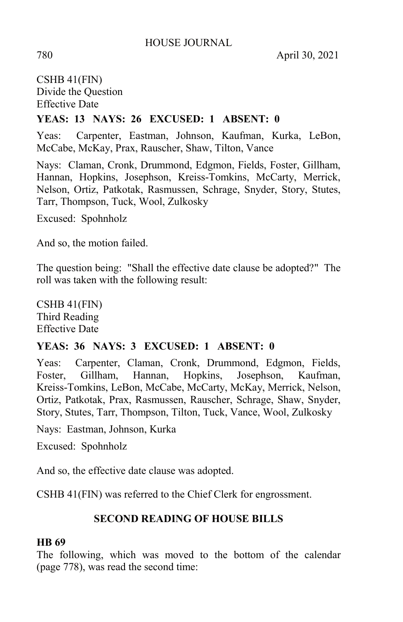780 April 30, 2021

# CSHB 41(FIN) Divide the Question Effective Date

# **YEAS: 13 NAYS: 26 EXCUSED: 1 ABSENT: 0**

Yeas: Carpenter, Eastman, Johnson, Kaufman, Kurka, LeBon, McCabe, McKay, Prax, Rauscher, Shaw, Tilton, Vance

Nays: Claman, Cronk, Drummond, Edgmon, Fields, Foster, Gillham, Hannan, Hopkins, Josephson, Kreiss-Tomkins, McCarty, Merrick, Nelson, Ortiz, Patkotak, Rasmussen, Schrage, Snyder, Story, Stutes, Tarr, Thompson, Tuck, Wool, Zulkosky

Excused: Spohnholz

And so, the motion failed.

The question being: "Shall the effective date clause be adopted?" The roll was taken with the following result:

CSHB 41(FIN) Third Reading Effective Date

### **YEAS: 36 NAYS: 3 EXCUSED: 1 ABSENT: 0**

Yeas: Carpenter, Claman, Cronk, Drummond, Edgmon, Fields, Foster, Gillham, Hannan, Hopkins, Josephson, Kaufman, Kreiss-Tomkins, LeBon, McCabe, McCarty, McKay, Merrick, Nelson, Ortiz, Patkotak, Prax, Rasmussen, Rauscher, Schrage, Shaw, Snyder, Story, Stutes, Tarr, Thompson, Tilton, Tuck, Vance, Wool, Zulkosky

Nays: Eastman, Johnson, Kurka

Excused: Spohnholz

And so, the effective date clause was adopted.

CSHB 41(FIN) was referred to the Chief Clerk for engrossment.

# **SECOND READING OF HOUSE BILLS**

### **HB 69**

The following, which was moved to the bottom of the calendar (page 778), was read the second time: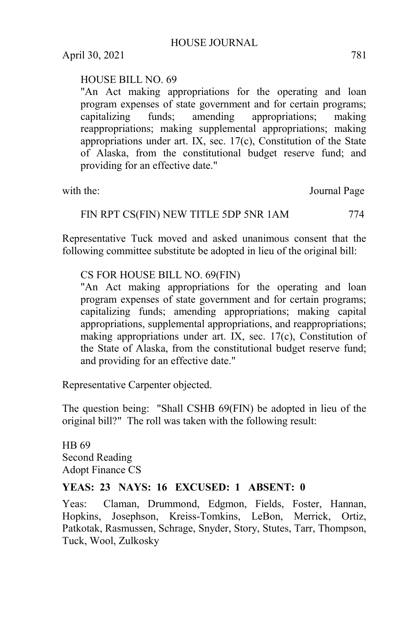# HOUSE BILL NO. 69

"An Act making appropriations for the operating and loan program expenses of state government and for certain programs; capitalizing funds; amending appropriations; making reappropriations; making supplemental appropriations; making appropriations under art. IX, sec. 17(c), Constitution of the State of Alaska, from the constitutional budget reserve fund; and providing for an effective date."

with the: Journal Page

### FIN RPT CS(FIN) NEW TITLE 5DP 5NR 1AM 774

Representative Tuck moved and asked unanimous consent that the following committee substitute be adopted in lieu of the original bill:

### CS FOR HOUSE BILL NO. 69(FIN)

"An Act making appropriations for the operating and loan program expenses of state government and for certain programs; capitalizing funds; amending appropriations; making capital appropriations, supplemental appropriations, and reappropriations; making appropriations under art. IX, sec. 17(c), Constitution of the State of Alaska, from the constitutional budget reserve fund; and providing for an effective date."

Representative Carpenter objected.

The question being: "Shall CSHB 69(FIN) be adopted in lieu of the original bill?" The roll was taken with the following result:

HB 69 Second Reading Adopt Finance CS

### **YEAS: 23 NAYS: 16 EXCUSED: 1 ABSENT: 0**

Yeas: Claman, Drummond, Edgmon, Fields, Foster, Hannan, Hopkins, Josephson, Kreiss-Tomkins, LeBon, Merrick, Ortiz, Patkotak, Rasmussen, Schrage, Snyder, Story, Stutes, Tarr, Thompson, Tuck, Wool, Zulkosky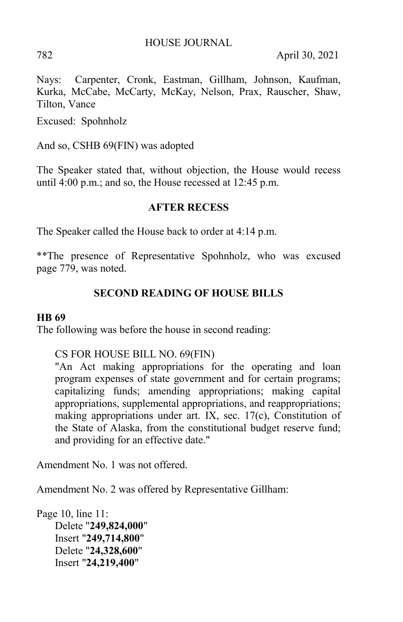782 April 30, 2021

Nays: Carpenter, Cronk, Eastman, Gillham, Johnson, Kaufman, Kurka, McCabe, McCarty, McKay, Nelson, Prax, Rauscher, Shaw, Tilton, Vance

Excused: Spohnholz

And so, CSHB 69(FIN) was adopted

The Speaker stated that, without objection, the House would recess until 4:00 p.m.; and so, the House recessed at 12:45 p.m.

### **AFTER RECESS**

The Speaker called the House back to order at 4:14 p.m.

\*\*The presence of Representative Spohnholz, who was excused page 779, was noted.

### **SECOND READING OF HOUSE BILLS**

### **HB 69**

The following was before the house in second reading:

CS FOR HOUSE BILL NO. 69(FIN)

"An Act making appropriations for the operating and loan program expenses of state government and for certain programs; capitalizing funds; amending appropriations; making capital appropriations, supplemental appropriations, and reappropriations; making appropriations under art. IX, sec. 17(c), Constitution of the State of Alaska, from the constitutional budget reserve fund; and providing for an effective date."

Amendment No. 1 was not offered.

Amendment No. 2 was offered by Representative Gillham:

Page 10, line 11: Delete "**249,824,000**" Insert "**249,714,800**" Delete "**24,328,600**" Insert "**24,219,400**"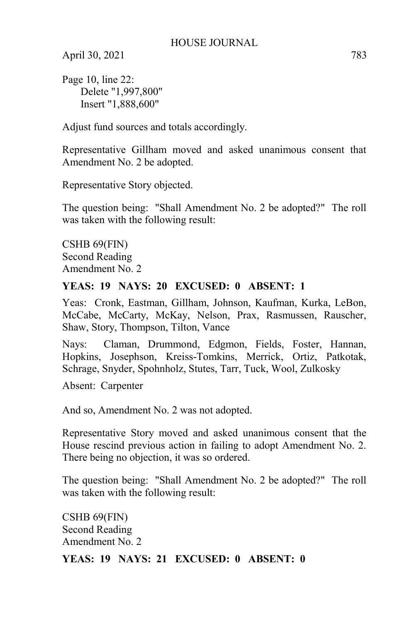Page 10, line 22: Delete "1,997,800" Insert "1,888,600"

Adjust fund sources and totals accordingly.

Representative Gillham moved and asked unanimous consent that Amendment No. 2 be adopted.

Representative Story objected.

The question being: "Shall Amendment No. 2 be adopted?" The roll was taken with the following result:

CSHB 69(FIN) Second Reading Amendment No. 2

### **YEAS: 19 NAYS: 20 EXCUSED: 0 ABSENT: 1**

Yeas: Cronk, Eastman, Gillham, Johnson, Kaufman, Kurka, LeBon, McCabe, McCarty, McKay, Nelson, Prax, Rasmussen, Rauscher, Shaw, Story, Thompson, Tilton, Vance

Nays: Claman, Drummond, Edgmon, Fields, Foster, Hannan, Hopkins, Josephson, Kreiss-Tomkins, Merrick, Ortiz, Patkotak, Schrage, Snyder, Spohnholz, Stutes, Tarr, Tuck, Wool, Zulkosky

Absent: Carpenter

And so, Amendment No. 2 was not adopted.

Representative Story moved and asked unanimous consent that the House rescind previous action in failing to adopt Amendment No. 2. There being no objection, it was so ordered.

The question being: "Shall Amendment No. 2 be adopted?" The roll was taken with the following result:

CSHB 69(FIN) Second Reading Amendment No. 2

### **YEAS: 19 NAYS: 21 EXCUSED: 0 ABSENT: 0**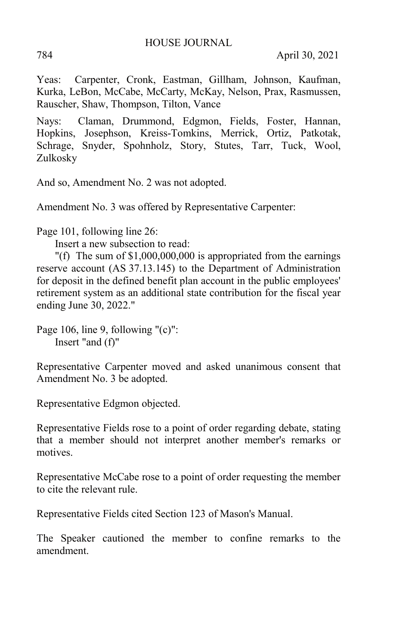Yeas: Carpenter, Cronk, Eastman, Gillham, Johnson, Kaufman, Kurka, LeBon, McCabe, McCarty, McKay, Nelson, Prax, Rasmussen, Rauscher, Shaw, Thompson, Tilton, Vance

Nays: Claman, Drummond, Edgmon, Fields, Foster, Hannan, Hopkins, Josephson, Kreiss-Tomkins, Merrick, Ortiz, Patkotak, Schrage, Snyder, Spohnholz, Story, Stutes, Tarr, Tuck, Wool, Zulkosky

And so, Amendment No. 2 was not adopted.

Amendment No. 3 was offered by Representative Carpenter:

Page 101, following line 26:

Insert a new subsection to read:

"(f) The sum of \$1,000,000,000 is appropriated from the earnings reserve account (AS 37.13.145) to the Department of Administration for deposit in the defined benefit plan account in the public employees' retirement system as an additional state contribution for the fiscal year ending June 30, 2022."

Page 106, line 9, following "(c)": Insert "and (f)"

Representative Carpenter moved and asked unanimous consent that Amendment No. 3 be adopted.

Representative Edgmon objected.

Representative Fields rose to a point of order regarding debate, stating that a member should not interpret another member's remarks or motives.

Representative McCabe rose to a point of order requesting the member to cite the relevant rule.

Representative Fields cited Section 123 of Mason's Manual.

The Speaker cautioned the member to confine remarks to the amendment.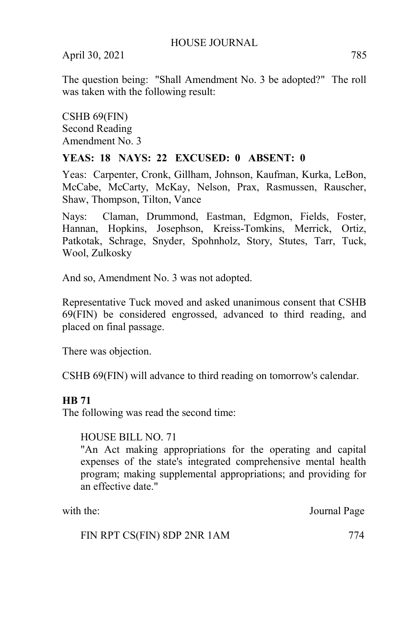The question being: "Shall Amendment No. 3 be adopted?" The roll was taken with the following result:

CSHB 69(FIN) Second Reading Amendment No. 3

### **YEAS: 18 NAYS: 22 EXCUSED: 0 ABSENT: 0**

Yeas: Carpenter, Cronk, Gillham, Johnson, Kaufman, Kurka, LeBon, McCabe, McCarty, McKay, Nelson, Prax, Rasmussen, Rauscher, Shaw, Thompson, Tilton, Vance

Nays: Claman, Drummond, Eastman, Edgmon, Fields, Foster, Hannan, Hopkins, Josephson, Kreiss-Tomkins, Merrick, Ortiz, Patkotak, Schrage, Snyder, Spohnholz, Story, Stutes, Tarr, Tuck, Wool, Zulkosky

And so, Amendment No. 3 was not adopted.

Representative Tuck moved and asked unanimous consent that CSHB 69(FIN) be considered engrossed, advanced to third reading, and placed on final passage.

There was objection.

CSHB 69(FIN) will advance to third reading on tomorrow's calendar.

### **HB 71**

The following was read the second time:

### HOUSE BILL NO. 71

"An Act making appropriations for the operating and capital expenses of the state's integrated comprehensive mental health program; making supplemental appropriations; and providing for an effective date."

with the: Journal Page

FIN RPT CS(FIN) 8DP 2NR 1AM 774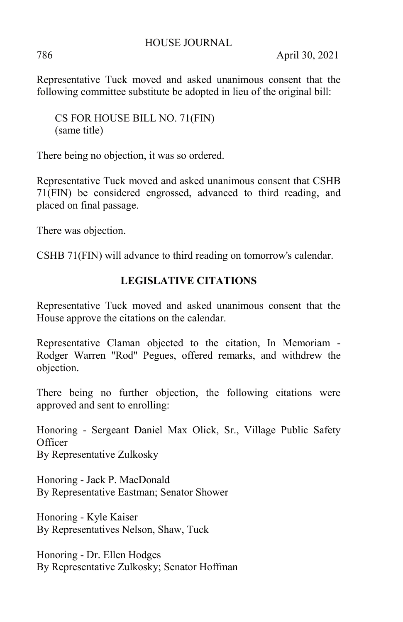786 April 30, 2021

Representative Tuck moved and asked unanimous consent that the following committee substitute be adopted in lieu of the original bill:

CS FOR HOUSE BILL NO. 71(FIN) (same title)

There being no objection, it was so ordered.

Representative Tuck moved and asked unanimous consent that CSHB 71(FIN) be considered engrossed, advanced to third reading, and placed on final passage.

There was objection.

CSHB 71(FIN) will advance to third reading on tomorrow's calendar.

# **LEGISLATIVE CITATIONS**

Representative Tuck moved and asked unanimous consent that the House approve the citations on the calendar.

Representative Claman objected to the citation, In Memoriam - Rodger Warren "Rod" Pegues, offered remarks, and withdrew the objection.

There being no further objection, the following citations were approved and sent to enrolling:

Honoring - Sergeant Daniel Max Olick, Sr., Village Public Safety **Officer** By Representative Zulkosky

Honoring - Jack P. MacDonald By Representative Eastman; Senator Shower

Honoring - Kyle Kaiser By Representatives Nelson, Shaw, Tuck

Honoring - Dr. Ellen Hodges By Representative Zulkosky; Senator Hoffman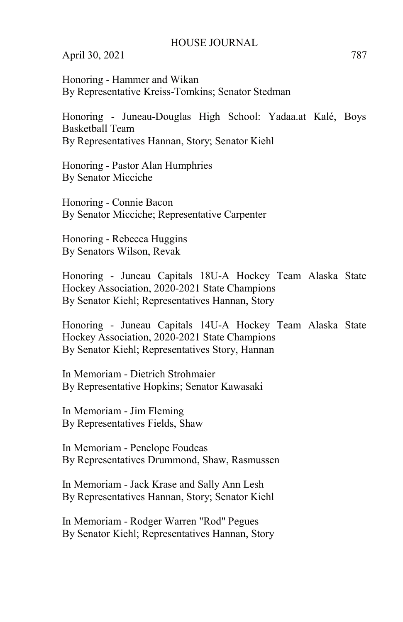Honoring - Hammer and Wikan By Representative Kreiss-Tomkins; Senator Stedman

Honoring - Juneau-Douglas High School: Yadaa.at Kalé, Boys Basketball Team By Representatives Hannan, Story; Senator Kiehl

Honoring - Pastor Alan Humphries By Senator Micciche

Honoring - Connie Bacon By Senator Micciche; Representative Carpenter

Honoring - Rebecca Huggins By Senators Wilson, Revak

Honoring - Juneau Capitals 18U-A Hockey Team Alaska State Hockey Association, 2020-2021 State Champions By Senator Kiehl; Representatives Hannan, Story

Honoring - Juneau Capitals 14U-A Hockey Team Alaska State Hockey Association, 2020-2021 State Champions By Senator Kiehl; Representatives Story, Hannan

In Memoriam - Dietrich Strohmaier By Representative Hopkins; Senator Kawasaki

In Memoriam - Jim Fleming By Representatives Fields, Shaw

In Memoriam - Penelope Foudeas By Representatives Drummond, Shaw, Rasmussen

In Memoriam - Jack Krase and Sally Ann Lesh By Representatives Hannan, Story; Senator Kiehl

In Memoriam - Rodger Warren "Rod" Pegues By Senator Kiehl; Representatives Hannan, Story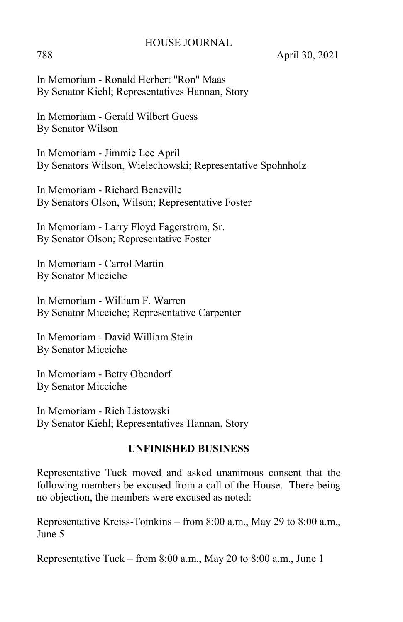788 April 30, 2021

In Memoriam - Ronald Herbert "Ron" Maas By Senator Kiehl; Representatives Hannan, Story

In Memoriam - Gerald Wilbert Guess By Senator Wilson

In Memoriam - Jimmie Lee April By Senators Wilson, Wielechowski; Representative Spohnholz

In Memoriam - Richard Beneville By Senators Olson, Wilson; Representative Foster

In Memoriam - Larry Floyd Fagerstrom, Sr. By Senator Olson; Representative Foster

In Memoriam - Carrol Martin By Senator Micciche

In Memoriam - William F. Warren By Senator Micciche; Representative Carpenter

In Memoriam - David William Stein By Senator Micciche

In Memoriam - Betty Obendorf By Senator Micciche

In Memoriam - Rich Listowski By Senator Kiehl; Representatives Hannan, Story

### **UNFINISHED BUSINESS**

Representative Tuck moved and asked unanimous consent that the following members be excused from a call of the House. There being no objection, the members were excused as noted:

Representative Kreiss-Tomkins – from 8:00 a.m., May 29 to 8:00 a.m., June 5

Representative Tuck – from 8:00 a.m., May 20 to 8:00 a.m., June 1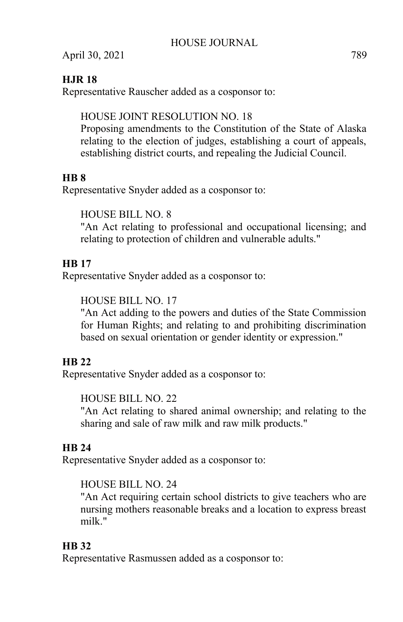# **HJR 18**

Representative Rauscher added as a cosponsor to:

# HOUSE JOINT RESOLUTION NO. 18

Proposing amendments to the Constitution of the State of Alaska relating to the election of judges, establishing a court of appeals, establishing district courts, and repealing the Judicial Council.

# **HB 8**

Representative Snyder added as a cosponsor to:

HOUSE BILL NO. 8

"An Act relating to professional and occupational licensing; and relating to protection of children and vulnerable adults."

# **HB 17**

Representative Snyder added as a cosponsor to:

# HOUSE BILL NO. 17

"An Act adding to the powers and duties of the State Commission for Human Rights; and relating to and prohibiting discrimination based on sexual orientation or gender identity or expression."

# **HB 22**

Representative Snyder added as a cosponsor to:

HOUSE BILL NO. 22

"An Act relating to shared animal ownership; and relating to the sharing and sale of raw milk and raw milk products."

# **HB 24**

Representative Snyder added as a cosponsor to:

### HOUSE BILL NO. 24

"An Act requiring certain school districts to give teachers who are nursing mothers reasonable breaks and a location to express breast milk."

# **HB 32**

Representative Rasmussen added as a cosponsor to: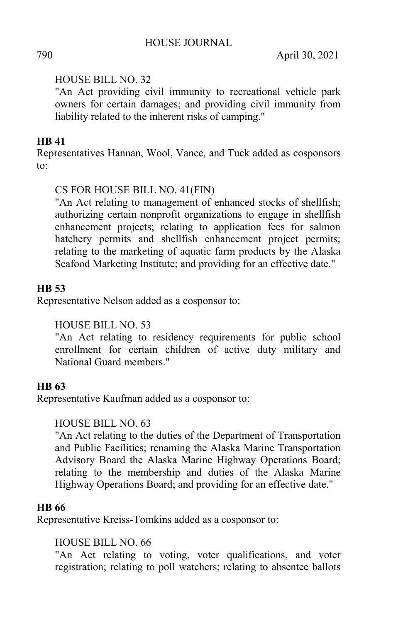### HOUSE BILL NO. 32

"An Act providing civil immunity to recreational vehicle park owners for certain damages; and providing civil immunity from liability related to the inherent risks of camping."

# **HB 41**

Representatives Hannan, Wool, Vance, and Tuck added as cosponsors to:

# CS FOR HOUSE BILL NO. 41(FIN)

"An Act relating to management of enhanced stocks of shellfish; authorizing certain nonprofit organizations to engage in shellfish enhancement projects; relating to application fees for salmon hatchery permits and shellfish enhancement project permits; relating to the marketing of aquatic farm products by the Alaska Seafood Marketing Institute; and providing for an effective date."

# **HB 53**

Representative Nelson added as a cosponsor to:

### HOUSE BILL NO. 53

"An Act relating to residency requirements for public school enrollment for certain children of active duty military and National Guard members."

### **HB 63**

Representative Kaufman added as a cosponsor to:

### HOUSE BILL NO. 63

"An Act relating to the duties of the Department of Transportation and Public Facilities; renaming the Alaska Marine Transportation Advisory Board the Alaska Marine Highway Operations Board; relating to the membership and duties of the Alaska Marine Highway Operations Board; and providing for an effective date."

### **HB 66**

Representative Kreiss-Tomkins added as a cosponsor to:

### HOUSE BILL NO. 66

"An Act relating to voting, voter qualifications, and voter registration; relating to poll watchers; relating to absentee ballots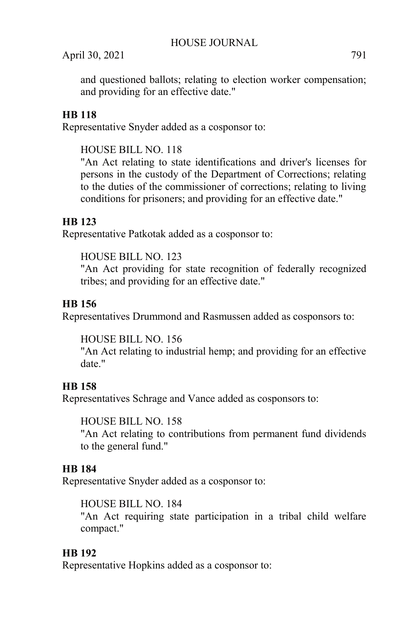and questioned ballots; relating to election worker compensation; and providing for an effective date."

# **HB 118**

Representative Snyder added as a cosponsor to:

# HOUSE BILL NO. 118

"An Act relating to state identifications and driver's licenses for persons in the custody of the Department of Corrections; relating to the duties of the commissioner of corrections; relating to living conditions for prisoners; and providing for an effective date."

# **HB 123**

Representative Patkotak added as a cosponsor to:

# HOUSE BILL NO. 123

"An Act providing for state recognition of federally recognized tribes; and providing for an effective date."

# **HB 156**

Representatives Drummond and Rasmussen added as cosponsors to:

# HOUSE BILL NO. 156

"An Act relating to industrial hemp; and providing for an effective date."

# **HB 158**

Representatives Schrage and Vance added as cosponsors to:

### HOUSE BILL NO. 158

"An Act relating to contributions from permanent fund dividends to the general fund."

# **HB 184**

Representative Snyder added as a cosponsor to:

### HOUSE BILL NO. 184

"An Act requiring state participation in a tribal child welfare compact."

# **HB 192**

Representative Hopkins added as a cosponsor to: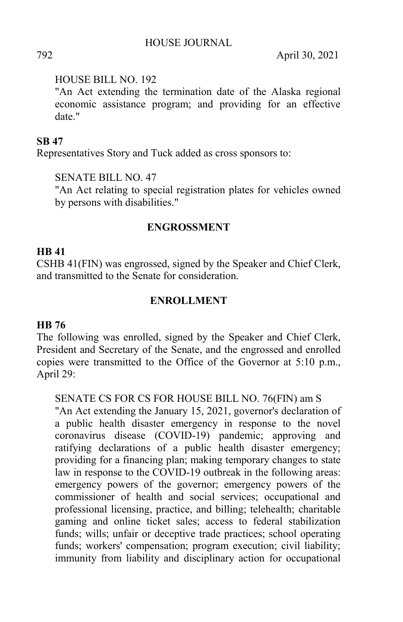### HOUSE BILL NO. 192

"An Act extending the termination date of the Alaska regional economic assistance program; and providing for an effective date."

### **SB 47**

Representatives Story and Tuck added as cross sponsors to:

SENATE BILL NO. 47

"An Act relating to special registration plates for vehicles owned by persons with disabilities."

### **ENGROSSMENT**

### **HB 41**

CSHB 41(FIN) was engrossed, signed by the Speaker and Chief Clerk, and transmitted to the Senate for consideration.

### **ENROLLMENT**

### **HB 76**

The following was enrolled, signed by the Speaker and Chief Clerk, President and Secretary of the Senate, and the engrossed and enrolled copies were transmitted to the Office of the Governor at 5:10 p.m., April 29:

### SENATE CS FOR CS FOR HOUSE BILL NO. 76(FIN) am S

"An Act extending the January 15, 2021, governor's declaration of a public health disaster emergency in response to the novel coronavirus disease (COVID-19) pandemic; approving and ratifying declarations of a public health disaster emergency; providing for a financing plan; making temporary changes to state law in response to the COVID-19 outbreak in the following areas: emergency powers of the governor; emergency powers of the commissioner of health and social services; occupational and professional licensing, practice, and billing; telehealth; charitable gaming and online ticket sales; access to federal stabilization funds; wills; unfair or deceptive trade practices; school operating funds; workers' compensation; program execution; civil liability; immunity from liability and disciplinary action for occupational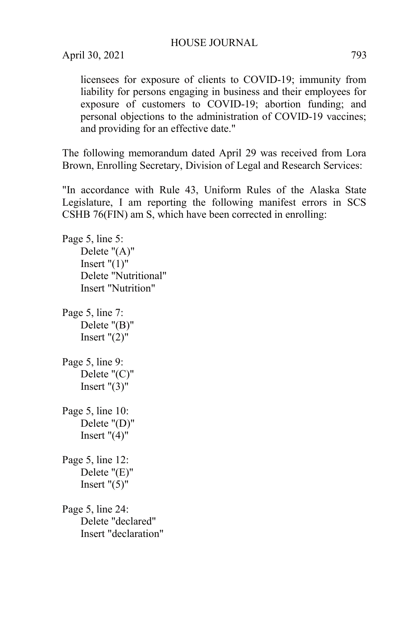licensees for exposure of clients to COVID-19; immunity from liability for persons engaging in business and their employees for exposure of customers to COVID-19; abortion funding; and personal objections to the administration of COVID-19 vaccines; and providing for an effective date."

The following memorandum dated April 29 was received from Lora Brown, Enrolling Secretary, Division of Legal and Research Services:

"In accordance with Rule 43, Uniform Rules of the Alaska State Legislature, I am reporting the following manifest errors in SCS CSHB 76(FIN) am S, which have been corrected in enrolling:

Page 5, line 5: Delete "(A)" Insert  $"(1)"$ Delete "Nutritional" Insert "Nutrition"

Page 5, line 7: Delete "(B)" Insert  $"(2)"$ 

Page 5, line 9: Delete "(C)" Insert  $"(3)"$ 

Page 5, line 10: Delete "(D)" Insert  $"(4)"$ 

Page 5, line 12: Delete "(E)" Insert  $"(5)"$ 

Page 5, line 24: Delete "declared" Insert "declaration"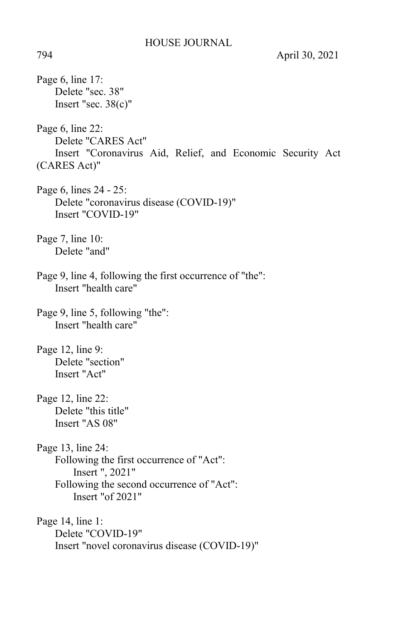Page 6, line 17: Delete "sec. 38" Insert "sec. 38(c)" Page 6, line 22: Delete "CARES Act" Insert "Coronavirus Aid, Relief, and Economic Security Act (CARES Act)" Page 6, lines 24 - 25: Delete "coronavirus disease (COVID-19)" Insert "COVID-19" Page 7, line 10: Delete "and" Page 9, line 4, following the first occurrence of "the": Insert "health care" Page 9, line 5, following "the": Insert "health care" Page 12, line 9: Delete "section" Insert "Act" Page 12, line 22: Delete "this title" Insert "AS 08" Page 13, line 24: Following the first occurrence of "Act": Insert ", 2021" Following the second occurrence of "Act": Insert "of 2021" Page 14, line 1: Delete "COVID-19" Insert "novel coronavirus disease (COVID-19)"